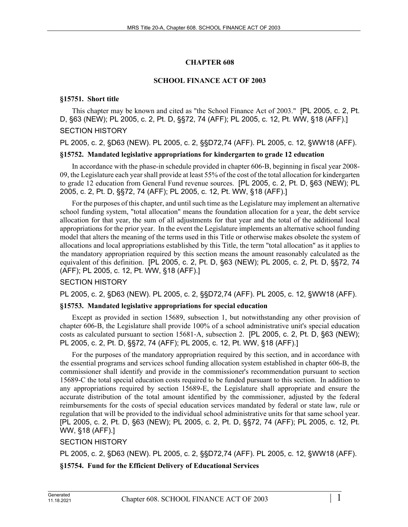# **CHAPTER 608**

## **SCHOOL FINANCE ACT OF 2003**

## **§15751. Short title**

This chapter may be known and cited as "the School Finance Act of 2003." [PL 2005, c. 2, Pt. D, §63 (NEW); PL 2005, c. 2, Pt. D, §§72, 74 (AFF); PL 2005, c. 12, Pt. WW, §18 (AFF).] SECTION HISTORY

## PL 2005, c. 2, §D63 (NEW). PL 2005, c. 2, §§D72,74 (AFF). PL 2005, c. 12, §WW18 (AFF).

## **§15752. Mandated legislative appropriations for kindergarten to grade 12 education**

In accordance with the phase-in schedule provided in chapter 606‑B, beginning in fiscal year 2008- 09, the Legislature each year shall provide at least 55% of the cost of the total allocation for kindergarten to grade 12 education from General Fund revenue sources. [PL 2005, c. 2, Pt. D, §63 (NEW); PL 2005, c. 2, Pt. D, §§72, 74 (AFF); PL 2005, c. 12, Pt. WW, §18 (AFF).]

For the purposes of this chapter, and until such time as the Legislature may implement an alternative school funding system, "total allocation" means the foundation allocation for a year, the debt service allocation for that year, the sum of all adjustments for that year and the total of the additional local appropriations for the prior year. In the event the Legislature implements an alternative school funding model that alters the meaning of the terms used in this Title or otherwise makes obsolete the system of allocations and local appropriations established by this Title, the term "total allocation" as it applies to the mandatory appropriation required by this section means the amount reasonably calculated as the equivalent of this definition. [PL 2005, c. 2, Pt. D, §63 (NEW); PL 2005, c. 2, Pt. D, §§72, 74 (AFF); PL 2005, c. 12, Pt. WW, §18 (AFF).]

## SECTION HISTORY

PL 2005, c. 2, §D63 (NEW). PL 2005, c. 2, §§D72,74 (AFF). PL 2005, c. 12, §WW18 (AFF).

## **§15753. Mandated legislative appropriations for special education**

Except as provided in section 15689, subsection 1, but notwithstanding any other provision of chapter 606‑B, the Legislature shall provide 100% of a school administrative unit's special education costs as calculated pursuant to section 15681‑A, subsection 2. [PL 2005, c. 2, Pt. D, §63 (NEW); PL 2005, c. 2, Pt. D, §§72, 74 (AFF); PL 2005, c. 12, Pt. WW, §18 (AFF).]

For the purposes of the mandatory appropriation required by this section, and in accordance with the essential programs and services school funding allocation system established in chapter 606-B, the commissioner shall identify and provide in the commissioner's recommendation pursuant to section 15689-C the total special education costs required to be funded pursuant to this section. In addition to any appropriations required by section 15689-E, the Legislature shall appropriate and ensure the accurate distribution of the total amount identified by the commissioner, adjusted by the federal reimbursements for the costs of special education services mandated by federal or state law, rule or regulation that will be provided to the individual school administrative units for that same school year. [PL 2005, c. 2, Pt. D, §63 (NEW); PL 2005, c. 2, Pt. D, §§72, 74 (AFF); PL 2005, c. 12, Pt. WW, §18 (AFF).]

# SECTION HISTORY

PL 2005, c. 2, §D63 (NEW). PL 2005, c. 2, §§D72,74 (AFF). PL 2005, c. 12, §WW18 (AFF).

# **§15754. Fund for the Efficient Delivery of Educational Services**